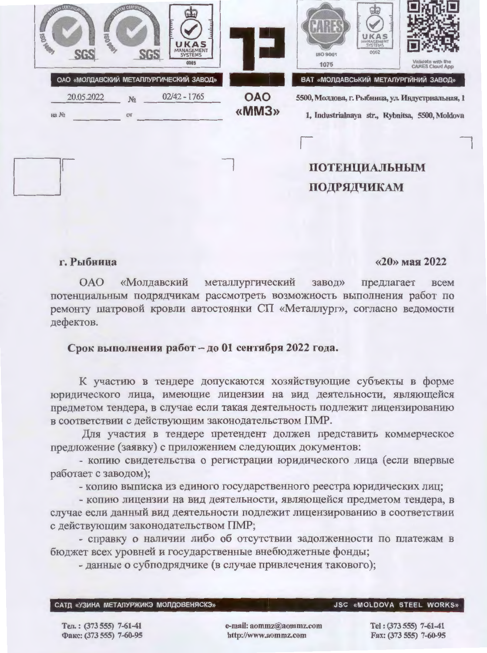| <b>DO TRANS</b> | <b>BARB</b> |                      | UKAS<br>MANAGEMENT<br>0005                                |                     | UKAS<br>MANAGEMENT<br>0002<br>ISO 9001<br>1075                                                                                               | Validate with the<br><b>CARES Cloud App</b> |
|-----------------|-------------|----------------------|-----------------------------------------------------------|---------------------|----------------------------------------------------------------------------------------------------------------------------------------------|---------------------------------------------|
| Ha No           | 20.05.2022  | N <sub>2</sub><br>OT | ОАО «МОЛДАВСКИЙ МЕТАЛЛУРГИЧЕСКИЙ ЗАВОД»<br>$02/42 - 1765$ | <b>OAO</b><br>«MM3» | ВАТ «МОЛДАВСЬКИЙ МЕТАЛУРГІЙНИЙ ЗАВОД»<br>5500, Молдова, г. Рыбница, ул. Индустриальная, 1<br>1, Industrialnaya str., Rybnitsa, 5500, Moldova |                                             |
|                 |             |                      |                                                           |                     | <b>ПОТЕНЦИАЛЬНЫМ</b><br>ПОДРЯДЧИКАМ                                                                                                          |                                             |

### г. Рыбница

#### «20» мая 2022

**OAO** «Молдавский металлургический предлагает завод» всем потенциальным подрядчикам рассмотреть возможность выполнения работ по ремонту шатровой кровли автостоянки СП «Металлург», согласно ведомости дефектов.

#### Срок выполнения работ - до 01 сентября 2022 года.

К участию в тендере допускаются хозяйствующие субъекты в форме юридического лица, имеющие лицензии на вид деятельности, являющейся предметом тендера, в случае если такая деятельность подлежит лицензированию в соответствии с действующим законодательством ПМР.

Для участия в тендере претендент должен представить коммерческое предложение (заявку) с приложением следующих документов:

- копию свидетельства о регистрации юридического лица (если впервые работает с заводом);

- копию выписка из единого государственного реестра юридических лиц;

- копию лицензии на вид деятельности, являющейся предметом тендера, в случае если данный вид деятельности подлежит лицензированию в соответствии с действующим законодательством ПМР;

- справку о наличии либо об отсутствии задолженности по платежам в бюджет всех уровней и государственные внебюджетные фонды;

- данные о субподрядчике (в случае привлечения такового);

САТД «УЗИНА МЕТАЛУРЖИКЭ МОЛДОВЕНЯСКЭ»

**JSC «MOLDOVA STEEL WORKS»** 

Тел.: (373 555) 7-61-41 Факс: (373 555) 7-60-95 e-mail: aommz@aommz.com http://www.aommz.com

Tel: (373 555) 7-61-41 Fax: (373 555) 7-60-95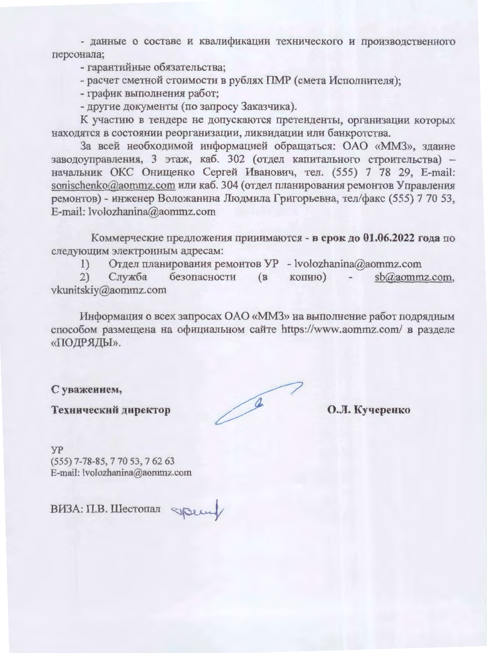- данные о составе и квалификации технического и производственного персонала;

- гарантийные обязательства;

- расчет сметной стоимости в рублях ПМР (смета Исполнителя);

- график выполнения работ;

- другие документы (по запросу Заказчика).

К участию в тендере не допускаются претенденты, организации которых находятся в состоянии реорганизации, ликвидации или банкротства.

За всей необходимой информацией обращаться: ОАО «ММЗ», здание заводоуправления, 3 этаж, каб. 302 (отдел капитального строительства) начальник ОКС Онищенко Сергей Иванович, тел. (555) 7 78 29, E-mail: sonischenko@aommz.com или каб. 304 (отдел планирования ремонтов Управления ремонтов) - инженер Воложанина Людмила Григорьевна, тел/факс (555) 7 70 53, E-mail: lvolozhanina@aommz.com

Коммерческие предложения принимаются - в срок до 01.06.2022 года по следующим электронным адресам:

Отдел планирования ремонтов УР - lvolozhanina@aommz.com  $1)$ 

 $2)$ Служба безопасности  $(B)$ копию) sb@aommz.com. vkunitskiy@aommz.com

Информация о всех запросах ОАО «ММЗ» на выполнение работ подрядным способом размещена на официальном сайте https://www.aommz.com/ в разделе «ПОДРЯДЫ».

С уважением,

Технический директор

 $\sqrt{2}$ 

О.Л. Кучеренко

**yp**  $(555)$  7-78-85, 7 70 53, 7 62 63 E-mail: lvolozhanina@aommz.com

ВИЗА: П.В. Шестопал